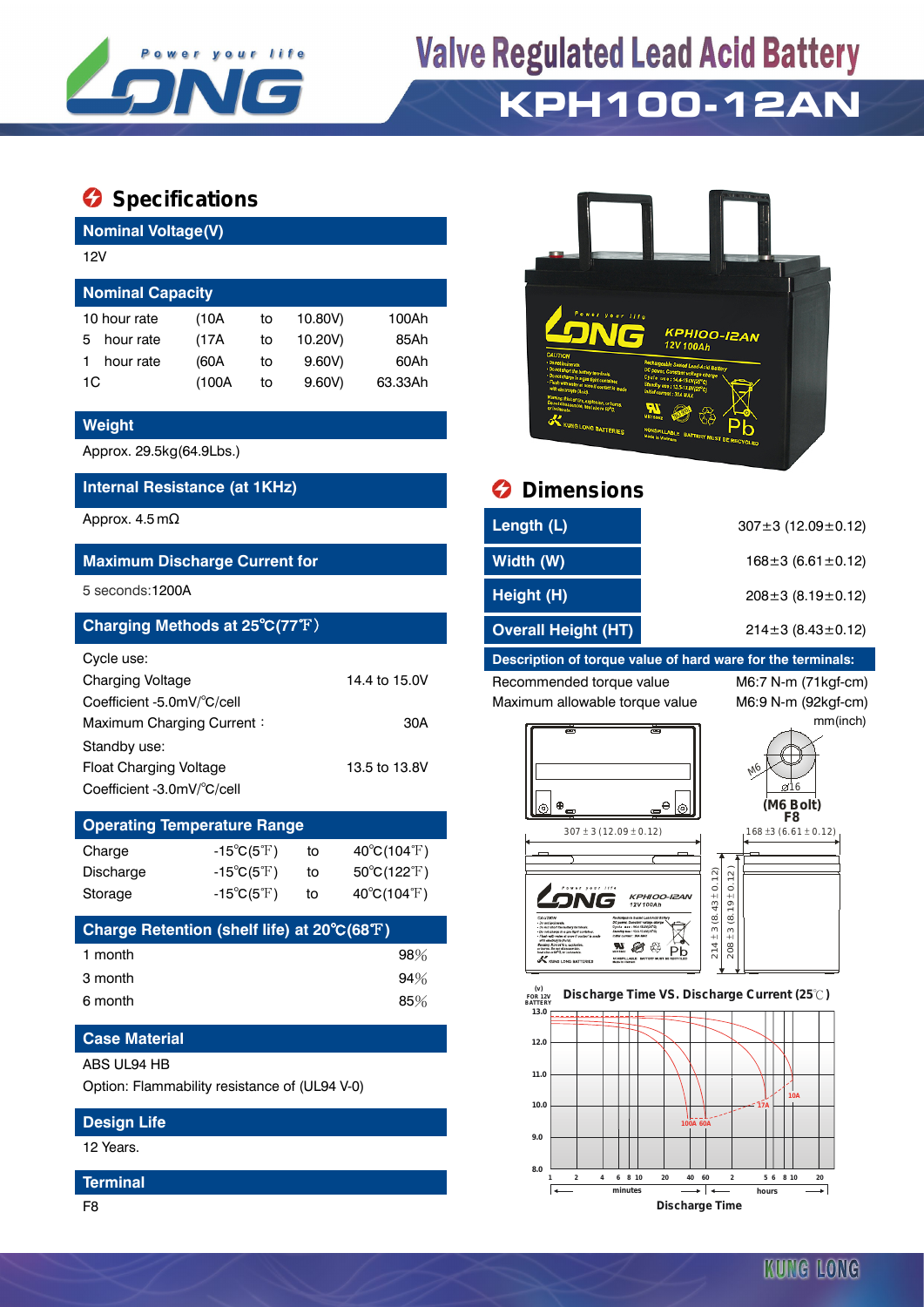

## **Valve Regulated Lead Acid Battery KPH100-12AN**

### **Specifications**

**Nominal Voltage(V)**

| 12V                     |       |    |         |         |  |  |  |
|-------------------------|-------|----|---------|---------|--|--|--|
| <b>Nominal Capacity</b> |       |    |         |         |  |  |  |
| 10 hour rate            | (10A  | to | 10.80V) | 100Ah   |  |  |  |
| hour rate<br>5          | (17A  | to | 10.20V) | 85Ah    |  |  |  |
| hour rate               | (60A  | to | 9.60V   | 60Ah    |  |  |  |
| 1C                      | (100A | to | 9.60V   | 63.33Ah |  |  |  |

#### **Weight**

Approx. 29.5kg(64.9Lbs.)

#### **Internal Resistance (at 1KHz) Dimensions**

#### **Maximum Discharge Current for**

#### **Charging Methods at 25℃(77°F)**

| Cycle use:                 |               |
|----------------------------|---------------|
| <b>Charging Voltage</b>    | 14.4 to 15.0V |
| Coefficient -5.0mV/°C/cell |               |
| Maximum Charging Current:  | 30A           |
| Standby use:               |               |
| Float Charging Voltage     | 13.5 to 13.8V |
| Coefficient -3.0mV/°C/cell |               |

### **Operating Temperature Range** Charge  $-15^{\circ}C(5^{\circ}F)$  to  $40^{\circ}C(104^{\circ}F)$ Discharge  $-15^{\circ}C(5^{\circ}F)$  to  $50^{\circ}C(122^{\circ}F)$

| Charge Retention (shelf life) at 20°C(68°F) |     |
|---------------------------------------------|-----|
| 1 month                                     | 98% |
| 3 month                                     | 94% |
| 6 month                                     | 85% |

Storage  $-15^{\circ}C(5^{\circ}F)$  to  $40^{\circ}C(104^{\circ}F)$ 

#### **Case Material**

ABS UL94 HB

Option: Flammability resistance of (UL94 V-0)

#### **Design Life**

12 Years.

#### **Terminal**



| Approx. 4.5 m $\Omega$                         | Length (L)          | $307 \pm 3$ (12.09 $\pm$ 0.12) |
|------------------------------------------------|---------------------|--------------------------------|
| <b>Maximum Discharge Current for</b>           | Width (W)           | $168 \pm 3$ (6.61 $\pm$ 0.12)  |
| 5 seconds:1200A                                | Height (H)          | $208 \pm 3$ (8.19 $\pm$ 0.12)  |
| Charging Methods at $25^{\circ}C(77^{\circ}F)$ | Overall Height (HT) | $214\pm3(8.43\pm0.12)$         |

#### **Description of torque value of hard ware for the terminals:**

Recommended torque value M6:7 N-m (71kgf-cm) Maximum allowable torque value M6:9 N-m (92kgf-cm)

mm(inch)









 **FOR 12V BATTERY Discharge Time VS. Discharge Current (25 ℃)**